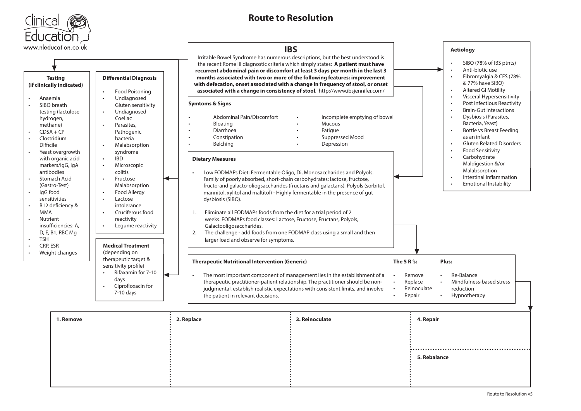

## **Route to Resolution**

| www.nleducation.co.uk                                                                                                                                                                                                                                                                                                                                                                                                                                                                                                                                                                                                                                                                                                                                                                                                                                                                  |                                                                                                                                         | <b>IBS</b>                                                                                                                                                                                                                                                                                                                                                                                                                                                                                                                                                                                                                                                                                                                                                                                                                                                                                                                                                                                                                                                                                                                                                                                                                                     |                           | <b>Aetiology</b>                                                                                                                                                                                                                                                                                                                                                                                                                                                                                                                                                                 |  |
|----------------------------------------------------------------------------------------------------------------------------------------------------------------------------------------------------------------------------------------------------------------------------------------------------------------------------------------------------------------------------------------------------------------------------------------------------------------------------------------------------------------------------------------------------------------------------------------------------------------------------------------------------------------------------------------------------------------------------------------------------------------------------------------------------------------------------------------------------------------------------------------|-----------------------------------------------------------------------------------------------------------------------------------------|------------------------------------------------------------------------------------------------------------------------------------------------------------------------------------------------------------------------------------------------------------------------------------------------------------------------------------------------------------------------------------------------------------------------------------------------------------------------------------------------------------------------------------------------------------------------------------------------------------------------------------------------------------------------------------------------------------------------------------------------------------------------------------------------------------------------------------------------------------------------------------------------------------------------------------------------------------------------------------------------------------------------------------------------------------------------------------------------------------------------------------------------------------------------------------------------------------------------------------------------|---------------------------|----------------------------------------------------------------------------------------------------------------------------------------------------------------------------------------------------------------------------------------------------------------------------------------------------------------------------------------------------------------------------------------------------------------------------------------------------------------------------------------------------------------------------------------------------------------------------------|--|
| <b>Differential Diagnosis</b><br><b>Testing</b><br>(if clinically indicated)<br><b>Food Poisoning</b><br>Undiagnosed<br>Anaemia<br>SIBO breath<br>Gluten sensitivity<br>Undiagnosed<br>testing (lactulose<br>Coeliac<br>hydrogen,<br>methane)<br>Parasites,<br>$CDSA + CP$<br>Pathogenic<br>Clostridium<br>bacteria<br>Difficile<br>Malabsorption<br>Yeast overgrowth<br>syndrome<br><b>IBD</b><br>with organic acid<br>markers/lgG, lgA<br>Microscopic<br>antibodies<br>colitis<br>Stomach Acid<br>Fructose<br>(Gastro-Test)<br>Malabsorption<br>IgG food<br>Food Allergy<br>sensitivities<br>Lactose<br>B12 deficiency &<br>intolerance<br>Cruciferous food<br><b>MMA</b><br>Nutrient<br>reactivity<br>insufficiencies: A,<br>Legume reactivity<br>D, E, B1, RBC Mg<br><b>TSH</b><br><b>Medical Treatment</b><br>CRP, ESR<br>$\ddot{\phantom{a}}$<br>Weight changes<br>(depending on | <b>Symtoms &amp; Signs</b><br>Abdominal Pain/Discomfort<br>Bloating<br>Diarrhoea<br>Constipation<br>Belching<br><b>Dietary Measures</b> | Irritable Bowel Syndrome has numerous descriptions, but the best understood is<br>the recent Rome III diagnostic criteria which simply states: A patient must have<br>recurrent abdominal pain or discomfort at least 3 days per month in the last 3<br>months associated with two or more of the following features: improvement<br>with defecation, onset associated with a change in frequency of stool, or onset<br>associated with a change in consistency of stool. http://www.ibsjennifer.com/<br>Incomplete emptying of bowel<br>Mucous<br>Fatique<br>Suppressed Mood<br>Depression<br>Low FODMAPs Diet: Fermentable Oligo, Di, Monosaccharides and Polyols.<br>Family of poorly absorbed, short-chain carbohydrates: lactose, fructose,<br>fructo-and galacto-oliogsaccharides (fructans and galactans), Polyols (sorbitol,<br>mannitol, xylitol and maltitol) - Highly fermentable in the presence of gut<br>dysbiosis (SIBO).<br>Eliminate all FODMAPs foods from the diet for a trial period of 2<br>1.<br>weeks. FODMAPs food classes: Lactose, Fructose, Fructans, Polyols,<br>Galactooligosaccharides.<br>The challenge - add foods from one FODMAP class using a small and then<br>2.<br>larger load and observe for symptoms. |                           | SIBO (78% of IBS ptnts)<br>Anti-biotic use<br>$\bullet$<br>Fibromyalgia & CFS (78%<br>$\bullet$<br>& 77% have SIBO)<br><b>Altered GI Motility</b><br>Visceral Hypersensitivity<br>$\bullet$<br>Post Infectious Reactivity<br><b>Brain-Gut Interactions</b><br>Dysbiosis (Parasites,<br>Bacteria, Yeast)<br><b>Bottle vs Breast Feeding</b><br>as an infant<br><b>Gluten Related Disorders</b><br>$\bullet$<br><b>Food Sensitivity</b><br>Carbohydrate<br>$\bullet$<br>Maldigestion &/or<br>Malabsorption<br>Intestinal Inflammation<br>$\bullet$<br><b>Emotional Instability</b> |  |
|                                                                                                                                                                                                                                                                                                                                                                                                                                                                                                                                                                                                                                                                                                                                                                                                                                                                                        |                                                                                                                                         |                                                                                                                                                                                                                                                                                                                                                                                                                                                                                                                                                                                                                                                                                                                                                                                                                                                                                                                                                                                                                                                                                                                                                                                                                                                |                           |                                                                                                                                                                                                                                                                                                                                                                                                                                                                                                                                                                                  |  |
| therapeutic target &<br>sensitivity profile)<br>Rifaxamin for 7-10<br>days<br>Ciprofloxacin for<br>$7-10$ days                                                                                                                                                                                                                                                                                                                                                                                                                                                                                                                                                                                                                                                                                                                                                                         | ←<br>$\bullet$<br>the patient in relevant decisions.                                                                                    | <b>Therapeutic Nutritional Intervention (Generic)</b><br>The most important component of management lies in the establishment of a<br>therapeutic practitioner-patient relationship. The practitioner should be non-<br>judgmental, establish realistic expectations with consistent limits, and involve                                                                                                                                                                                                                                                                                                                                                                                                                                                                                                                                                                                                                                                                                                                                                                                                                                                                                                                                       |                           | The 5 $R$ 's:<br>Plus:<br>Remove<br>Re-Balance<br>Replace<br>Mindfulness-based stress<br>Reinoculate<br>reduction<br>$\ddot{\phantom{a}}$<br>Repair<br>Hypnotherapy                                                                                                                                                                                                                                                                                                                                                                                                              |  |
| 1. Remove                                                                                                                                                                                                                                                                                                                                                                                                                                                                                                                                                                                                                                                                                                                                                                                                                                                                              | 2. Replace                                                                                                                              | 3. Reinoculate                                                                                                                                                                                                                                                                                                                                                                                                                                                                                                                                                                                                                                                                                                                                                                                                                                                                                                                                                                                                                                                                                                                                                                                                                                 | 4. Repair<br>5. Rebalance |                                                                                                                                                                                                                                                                                                                                                                                                                                                                                                                                                                                  |  |

 $\Gamma$ 

┑

 $\overline{\phantom{0}}$